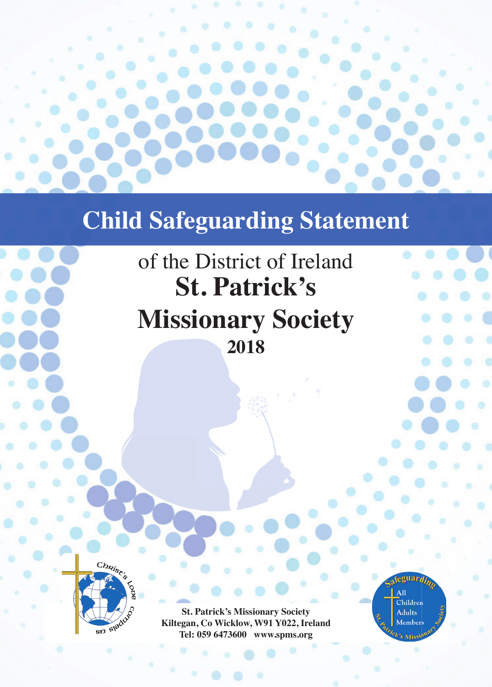

# **Child Safeguarding Statement**

# of the District of Ireland **St. Patrick's Missionary Society 2018**



**St. Patrick's Missionary Society Kiltegan, Co Wicklow, W91 Y022, Ireland Tel: 059 6473600 www.spms.org**

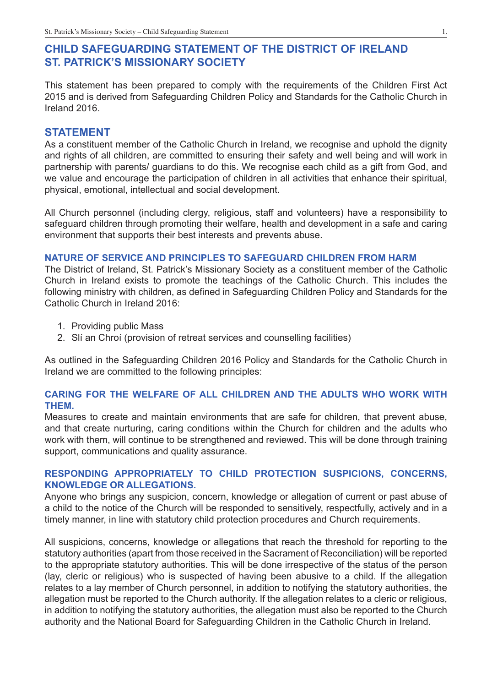# **CHILD SAFEGUARDING STATEMENT OF THE DISTRICT OF IRELAND ST. PATRICK'S MISSIONARY SOCIETY**

This statement has been prepared to comply with the requirements of the Children First Act 2015 and is derived from Safeguarding Children Policy and Standards for the Catholic Church in Ireland 2016.

# **STATEMENT**

As a constituent member of the Catholic Church in Ireland, we recognise and uphold the dignity and rights of all children, are committed to ensuring their safety and well being and will work in partnership with parents/ guardians to do this. We recognise each child as a gift from God, and we value and encourage the participation of children in all activities that enhance their spiritual, physical, emotional, intellectual and social development.

All Church personnel (including clergy, religious, staff and volunteers) have a responsibility to safeguard children through promoting their welfare, health and development in a safe and caring environment that supports their best interests and prevents abuse.

### **NATURE OF SERVICE AND PRINCIPLES TO SAFEGUARD CHILDREN FROM HARM**

The District of Ireland, St. Patrick's Missionary Society as a constituent member of the Catholic Church in Ireland exists to promote the teachings of the Catholic Church. This includes the following ministry with children, as defined in Safeguarding Children Policy and Standards for the Catholic Church in Ireland 2016:

- 1. Providing public Mass
- 2. Slí an Chroí (provision of retreat services and counselling facilities)

As outlined in the Safeguarding Children 2016 Policy and Standards for the Catholic Church in Ireland we are committed to the following principles:

# **CARING FOR THE WELFARE OF ALL CHILDREN AND THE ADULTS WHO WORK WITH THEM.**

Measures to create and maintain environments that are safe for children, that prevent abuse, and that create nurturing, caring conditions within the Church for children and the adults who work with them, will continue to be strengthened and reviewed. This will be done through training support, communications and quality assurance.

# **RESPONDING APPROPRIATELY TO CHILD PROTECTION SUSPICIONS, CONCERNS, KNOWLEDGE OR ALLEGATIONS.**

Anyone who brings any suspicion, concern, knowledge or allegation of current or past abuse of a child to the notice of the Church will be responded to sensitively, respectfully, actively and in a timely manner, in line with statutory child protection procedures and Church requirements.

All suspicions, concerns, knowledge or allegations that reach the threshold for reporting to the statutory authorities (apart from those received in the Sacrament of Reconciliation) will be reported to the appropriate statutory authorities. This will be done irrespective of the status of the person (lay, cleric or religious) who is suspected of having been abusive to a child. If the allegation relates to a lay member of Church personnel, in addition to notifying the statutory authorities, the allegation must be reported to the Church authority. If the allegation relates to a cleric or religious, in addition to notifying the statutory authorities, the allegation must also be reported to the Church authority and the National Board for Safeguarding Children in the Catholic Church in Ireland.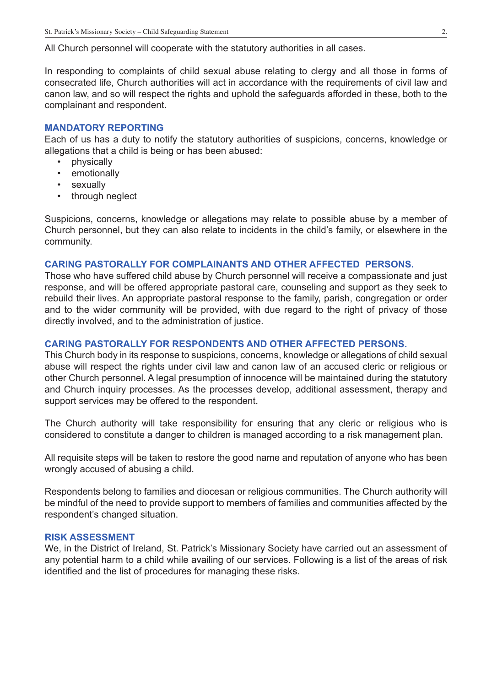All Church personnel will cooperate with the statutory authorities in all cases.

In responding to complaints of child sexual abuse relating to clergy and all those in forms of consecrated life, Church authorities will act in accordance with the requirements of civil law and canon law, and so will respect the rights and uphold the safeguards afforded in these, both to the complainant and respondent.

#### **MANDATORY REPORTING**

Each of us has a duty to notify the statutory authorities of suspicions, concerns, knowledge or allegations that a child is being or has been abused:

- physically
- emotionally
- sexually
- through neglect

Suspicions, concerns, knowledge or allegations may relate to possible abuse by a member of Church personnel, but they can also relate to incidents in the child's family, or elsewhere in the community.

#### **CARING PASTORALLY FOR COMPLAINANTS AND OTHER AFFECTED PERSONS.**

Those who have suffered child abuse by Church personnel will receive a compassionate and just response, and will be offered appropriate pastoral care, counseling and support as they seek to rebuild their lives. An appropriate pastoral response to the family, parish, congregation or order and to the wider community will be provided, with due regard to the right of privacy of those directly involved, and to the administration of justice.

#### **CARING PASTORALLY FOR RESPONDENTS AND OTHER AFFECTED PERSONS.**

This Church body in its response to suspicions, concerns, knowledge or allegations of child sexual abuse will respect the rights under civil law and canon law of an accused cleric or religious or other Church personnel. A legal presumption of innocence will be maintained during the statutory and Church inquiry processes. As the processes develop, additional assessment, therapy and support services may be offered to the respondent.

The Church authority will take responsibility for ensuring that any cleric or religious who is considered to constitute a danger to children is managed according to a risk management plan.

All requisite steps will be taken to restore the good name and reputation of anyone who has been wrongly accused of abusing a child.

Respondents belong to families and diocesan or religious communities. The Church authority will be mindful of the need to provide support to members of families and communities affected by the respondent's changed situation.

#### **RISK ASSESSMENT**

We, in the District of Ireland, St. Patrick's Missionary Society have carried out an assessment of any potential harm to a child while availing of our services. Following is a list of the areas of risk identified and the list of procedures for managing these risks.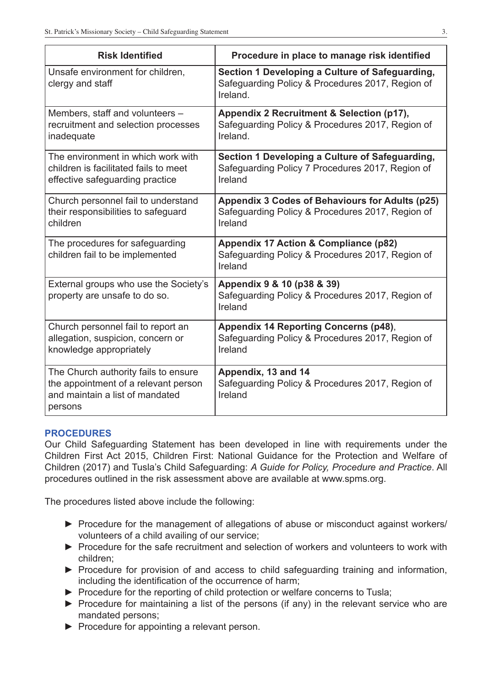| <b>Risk Identified</b>                                                                                                     | Procedure in place to manage risk identified                                                                    |
|----------------------------------------------------------------------------------------------------------------------------|-----------------------------------------------------------------------------------------------------------------|
| Unsafe environment for children,<br>clergy and staff                                                                       | Section 1 Developing a Culture of Safeguarding,<br>Safeguarding Policy & Procedures 2017, Region of<br>Ireland. |
| Members, staff and volunteers -<br>recruitment and selection processes<br>inadequate                                       | Appendix 2 Recruitment & Selection (p17),<br>Safeguarding Policy & Procedures 2017, Region of<br>Ireland.       |
| The environment in which work with<br>children is facilitated fails to meet<br>effective safeguarding practice             | Section 1 Developing a Culture of Safeguarding,<br>Safeguarding Policy 7 Procedures 2017, Region of<br>Ireland  |
| Church personnel fail to understand<br>their responsibilities to safeguard<br>children                                     | Appendix 3 Codes of Behaviours for Adults (p25)<br>Safeguarding Policy & Procedures 2017, Region of<br>Ireland  |
| The procedures for safeguarding<br>children fail to be implemented                                                         | Appendix 17 Action & Compliance (p82)<br>Safeguarding Policy & Procedures 2017, Region of<br>Ireland            |
| External groups who use the Society's<br>property are unsafe to do so.                                                     | Appendix 9 & 10 (p38 & 39)<br>Safeguarding Policy & Procedures 2017, Region of<br>Ireland                       |
| Church personnel fail to report an<br>allegation, suspicion, concern or<br>knowledge appropriately                         | <b>Appendix 14 Reporting Concerns (p48),</b><br>Safeguarding Policy & Procedures 2017, Region of<br>Ireland     |
| The Church authority fails to ensure<br>the appointment of a relevant person<br>and maintain a list of mandated<br>persons | Appendix, 13 and 14<br>Safeguarding Policy & Procedures 2017, Region of<br>Ireland                              |

# **PROCEDURES**

Our Child Safeguarding Statement has been developed in line with requirements under the Children First Act 2015, Children First: National Guidance for the Protection and Welfare of Children (2017) and Tusla's Child Safeguarding: *A Guide for Policy, Procedure and Practice*. All procedures outlined in the risk assessment above are available at www.spms.org.

The procedures listed above include the following:

- ► Procedure for the management of allegations of abuse or misconduct against workers/ volunteers of a child availing of our service;
- ► Procedure for the safe recruitment and selection of workers and volunteers to work with children;
- ► Procedure for provision of and access to child safeguarding training and information, including the identification of the occurrence of harm;
- ► Procedure for the reporting of child protection or welfare concerns to Tusla;
- ► Procedure for maintaining a list of the persons (if any) in the relevant service who are mandated persons;
- ► Procedure for appointing a relevant person.